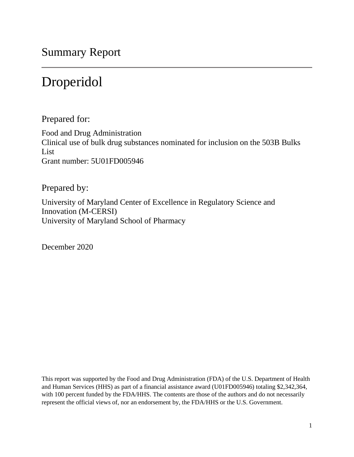Summary Report

# Droperidol

Prepared for:

Food and Drug Administration Clinical use of bulk drug substances nominated for inclusion on the 503B Bulks List Grant number: 5U01FD005946

Prepared by:

University of Maryland Center of Excellence in Regulatory Science and Innovation (M-CERSI) University of Maryland School of Pharmacy

December 2020

This report was supported by the Food and Drug Administration (FDA) of the U.S. Department of Health and Human Services (HHS) as part of a financial assistance award (U01FD005946) totaling \$2,342,364, with 100 percent funded by the FDA/HHS. The contents are those of the authors and do not necessarily represent the official views of, nor an endorsement by, the FDA/HHS or the U.S. Government.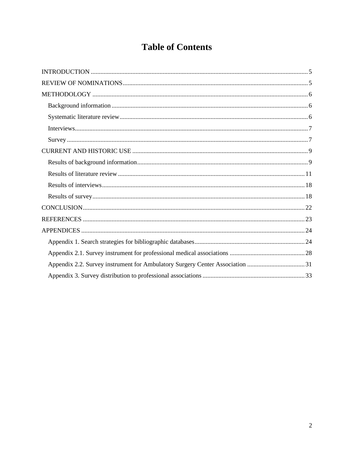## **Table of Contents**

| Appendix 2.2. Survey instrument for Ambulatory Surgery Center Association 31 |
|------------------------------------------------------------------------------|
|                                                                              |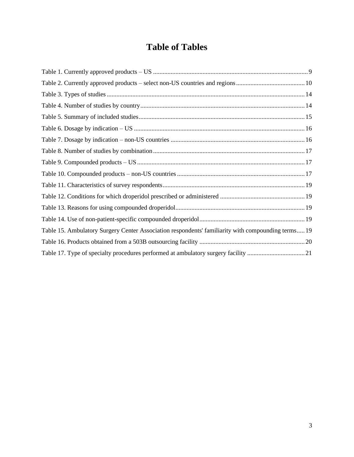## **Table of Tables**

| Table 15. Ambulatory Surgery Center Association respondents' familiarity with compounding terms 19 |  |
|----------------------------------------------------------------------------------------------------|--|
|                                                                                                    |  |
|                                                                                                    |  |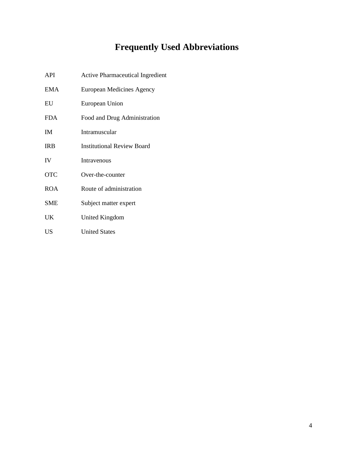# **Frequently Used Abbreviations**

| API        | <b>Active Pharmaceutical Ingredient</b> |
|------------|-----------------------------------------|
| <b>EMA</b> | European Medicines Agency               |
| EU         | European Union                          |
| <b>FDA</b> | Food and Drug Administration            |
| <b>IM</b>  | Intramuscular                           |
| <b>IRB</b> | <b>Institutional Review Board</b>       |
| IV         | Intravenous                             |
| <b>OTC</b> | Over-the-counter                        |
| <b>ROA</b> | Route of administration                 |
| <b>SME</b> | Subject matter expert                   |
| UK         | United Kingdom                          |
| <b>US</b>  | <b>United States</b>                    |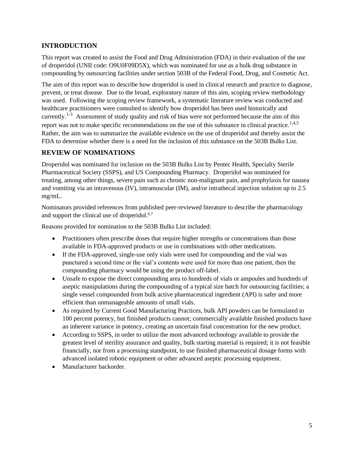## <span id="page-4-0"></span>**INTRODUCTION**

This report was created to assist the Food and Drug Administration (FDA) in their evaluation of the use of droperidol (UNII code: O9U0F09D5X), which was nominated for use as a bulk drug substance in compounding by outsourcing facilities under section 503B of the Federal Food, Drug, and Cosmetic Act.

The aim of this report was to describe how droperidol is used in clinical research and practice to diagnose, prevent, or treat disease. Due to the broad, exploratory nature of this aim, scoping review methodology was used. Following the scoping review framework, a systematic literature review was conducted and healthcare practitioners were consulted to identify how droperidol has been used historically and currently.<sup>1-3</sup> Assessment of study quality and risk of bias were not performed because the aim of this report was not to make specific recommendations on the use of this substance in clinical practice.<sup>1,4,5</sup> Rather, the aim was to summarize the available evidence on the use of droperidol and thereby assist the FDA to determine whether there is a need for the inclusion of this substance on the 503B Bulks List.

## <span id="page-4-1"></span>**REVIEW OF NOMINATIONS**

Droperidol was nominated for inclusion on the 503B Bulks List by Pentec Health, Specialty Sterile Pharmaceutical Society (SSPS), and US Compounding Pharmacy. Droperidol was nominated for treating, among other things, severe pain such as chronic non-malignant pain, and prophylaxis for nausea and vomiting via an intravenous (IV), intramuscular (IM), and/or intrathecal injection solution up to 2.5 mg/mL.

Nominators provided references from published peer-reviewed literature to describe the pharmacology and support the clinical use of droperidol.<sup>6,7</sup>

Reasons provided for nomination to the 503B Bulks List included:

- Practitioners often prescribe doses that require higher strengths or concentrations than those available in FDA-approved products or use in combinations with other medications.
- If the FDA-approved, single-use only vials were used for compounding and the vial was punctured a second time or the vial's contents were used for more than one patient, then the compounding pharmacy would be using the product off-label.
- Unsafe to expose the direct compounding area to hundreds of vials or ampoules and hundreds of aseptic manipulations during the compounding of a typical size batch for outsourcing facilities; a single vessel compounded from bulk active pharmaceutical ingredient (API) is safer and more efficient than unmanageable amounts of small vials.
- As required by Current Good Manufacturing Practices, bulk API powders can be formulated to 100 percent potency, but finished products cannot; commercially available finished products have an inherent variance in potency, creating an uncertain final concentration for the new product.
- According to SSPS, in order to utilize the most advanced technology available to provide the greatest level of sterility assurance and quality, bulk starting material is required; it is not feasible financially, nor from a processing standpoint, to use finished pharmaceutical dosage forms with advanced isolated robotic equipment or other advanced aseptic processing equipment.
- Manufacturer backorder.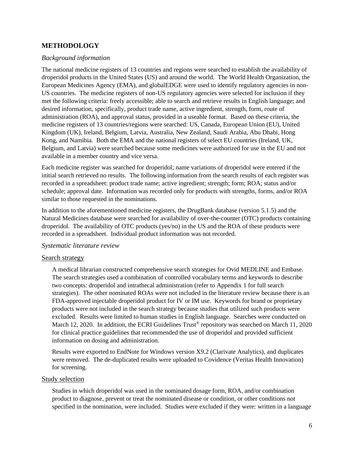## <span id="page-5-0"></span>**METHODOLOGY**

#### <span id="page-5-1"></span>*Background information*

The national medicine registers of 13 countries and regions were searched to establish the availability of droperidol products in the United States (US) and around the world. The World Health Organization, the European Medicines Agency (EMA), and globalEDGE were used to identify regulatory agencies in non-US countries. The medicine registers of non-US regulatory agencies were selected for inclusion if they met the following criteria: freely accessible; able to search and retrieve results in English language; and desired information, specifically, product trade name, active ingredient, strength, form, route of administration (ROA), and approval status, provided in a useable format. Based on these criteria, the medicine registers of 13 countries/regions were searched: US, Canada, European Union (EU), United Kingdom (UK), Ireland, Belgium, Latvia, Australia, New Zealand, Saudi Arabia, Abu Dhabi, Hong Kong, and Namibia. Both the EMA and the national registers of select EU countries (Ireland, UK, Belgium, and Latvia) were searched because some medicines were authorized for use in the EU and not available in a member country and vice versa.

Each medicine register was searched for droperidol; name variations of droperidol were entered if the initial search retrieved no results. The following information from the search results of each register was recorded in a spreadsheet: product trade name; active ingredient; strength; form; ROA; status and/or schedule; approval date. Information was recorded only for products with strengths, forms, and/or ROA similar to those requested in the nominations.

In addition to the aforementioned medicine registers, the DrugBank database (version 5.1.5) and the Natural Medicines database were searched for availability of over-the-counter (OTC) products containing droperidol. The availability of OTC products (yes/no) in the US and the ROA of these products were recorded in a spreadsheet. Individual product information was not recorded.

#### <span id="page-5-2"></span>*Systematic literature review*

#### Search strategy

A medical librarian constructed comprehensive search strategies for Ovid MEDLINE and Embase. The search strategies used a combination of controlled vocabulary terms and keywords to describe two concepts: droperidol and intrathecal administration (refer to Appendix 1 for full search strategies). The other nominated ROAs were not included in the literature review because there is an FDA-approved injectable droperidol product for IV or IM use. Keywords for brand or proprietary products were not included in the search strategy because studies that utilized such products were excluded. Results were limited to human studies in English language. Searches were conducted on March 12, 2020. In addition, the ECRI Guidelines Trust<sup>®</sup> repository was searched on March 11, 2020 for clinical practice guidelines that recommended the use of droperidol and provided sufficient information on dosing and administration.

Results were exported to EndNote for Windows version X9.2 (Clarivate Analytics), and duplicates were removed. The de-duplicated results were uploaded to Covidence (Veritas Health Innovation) for screening.

#### Study selection

Studies in which droperidol was used in the nominated dosage form, ROA, and/or combination product to diagnose, prevent or treat the nominated disease or condition, or other conditions not specified in the nomination, were included. Studies were excluded if they were: written in a language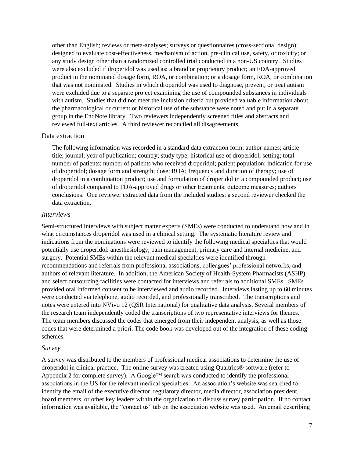other than English; reviews or meta-analyses; surveys or questionnaires (cross-sectional design); designed to evaluate cost-effectiveness, mechanism of action, pre-clinical use, safety, or toxicity; or any study design other than a randomized controlled trial conducted in a non-US country. Studies were also excluded if droperidol was used as: a brand or proprietary product; an FDA-approved product in the nominated dosage form, ROA, or combination; or a dosage form, ROA, or combination that was not nominated. Studies in which droperidol was used to diagnose, prevent, or treat autism were excluded due to a separate project examining the use of compounded substances in individuals with autism. Studies that did not meet the inclusion criteria but provided valuable information about the pharmacological or current or historical use of the substance were noted and put in a separate group in the EndNote library. Two reviewers independently screened titles and abstracts and reviewed full-text articles. A third reviewer reconciled all disagreements.

#### Data extraction

The following information was recorded in a standard data extraction form: author names; article title; journal; year of publication; country; study type; historical use of droperidol; setting; total number of patients; number of patients who received droperidol; patient population; indication for use of droperidol; dosage form and strength; dose; ROA; frequency and duration of therapy; use of droperidol in a combination product; use and formulation of droperidol in a compounded product; use of droperidol compared to FDA-approved drugs or other treatments; outcome measures; authors' conclusions. One reviewer extracted data from the included studies; a second reviewer checked the data extraction.

#### <span id="page-6-0"></span>*Interviews*

Semi-structured interviews with subject matter experts (SMEs) were conducted to understand how and in what circumstances droperidol was used in a clinical setting. The systematic literature review and indications from the nominations were reviewed to identify the following medical specialties that would potentially use droperidol: anesthesiology, pain management, primary care and internal medicine, and surgery. Potential SMEs within the relevant medical specialties were identified through recommendations and referrals from professional associations, colleagues' professional networks, and authors of relevant literature. In addition, the American Society of Health-System Pharmacists (ASHP) and select outsourcing facilities were contacted for interviews and referrals to additional SMEs. SMEs provided oral informed consent to be interviewed and audio recorded. Interviews lasting up to 60 minutes were conducted via telephone, audio recorded, and professionally transcribed. The transcriptions and notes were entered into NVivo 12 (QSR International) for qualitative data analysis. Several members of the research team independently coded the transcriptions of two representative interviews for themes. The team members discussed the codes that emerged from their independent analysis, as well as those codes that were determined a priori. The code book was developed out of the integration of these coding schemes.

#### <span id="page-6-1"></span>*Survey*

A survey was distributed to the members of professional medical associations to determine the use of droperidol in clinical practice. The online survey was created using Qualtrics® software (refer to Appendix 2 for complete survey). A Google<sup>™</sup> search was conducted to identify the professional associations in the US for the relevant medical specialties. An association's website was searched to identify the email of the executive director, regulatory director, media director, association president, board members, or other key leaders within the organization to discuss survey participation. If no contact information was available, the "contact us" tab on the association website was used. An email describing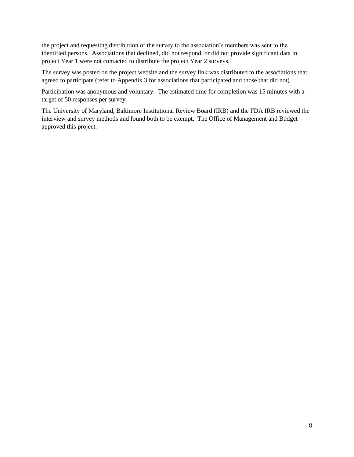the project and requesting distribution of the survey to the association's members was sent to the identified persons. Associations that declined, did not respond, or did not provide significant data in project Year 1 were not contacted to distribute the project Year 2 surveys.

The survey was posted on the project website and the survey link was distributed to the associations that agreed to participate (refer to Appendix 3 for associations that participated and those that did not).

Participation was anonymous and voluntary. The estimated time for completion was 15 minutes with a target of 50 responses per survey.

The University of Maryland, Baltimore Institutional Review Board (IRB) and the FDA IRB reviewed the interview and survey methods and found both to be exempt. The Office of Management and Budget approved this project.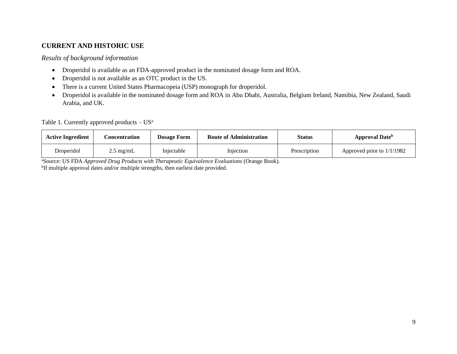## **CURRENT AND HISTORIC USE**

#### *Results of background information*

- Droperidol is available as an FDA-approved product in the nominated dosage form and ROA.
- Droperidol is not available as an OTC product in the US.
- There is a current United States Pharmacopeia (USP) monograph for droperidol.
- Droperidol is available in the nominated dosage form and ROA in Abu Dhabi, Australia, Belgium Ireland, Namibia, New Zealand, Saudi Arabia, and UK.

Table 1. Currently approved products  $- US^a$ 

| <b>Active Ingredient</b> | Concentration       | <b>Dosage Form</b> | <b>Route of Administration</b> | <b>Status</b> | <b>Approval Date</b> <sup>b</sup> |
|--------------------------|---------------------|--------------------|--------------------------------|---------------|-----------------------------------|
| Droperidol               | $2.5 \text{ mg/mL}$ | Injectable         | Injection                      | Prescription  | Approved prior to 1/1/1982        |

<span id="page-8-2"></span><span id="page-8-1"></span><span id="page-8-0"></span><sup>a</sup>Source: US FDA *Approved Drug Products with Therapeutic Equivalence Evaluations* (Orange Book). <sup>b</sup>If multiple approval dates and/or multiple strengths, then earliest date provided.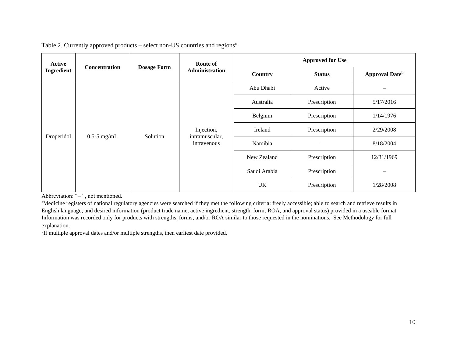| Active<br>Ingredient         |                      |                    | Route of                                    | <b>Approved for Use</b> |               |                                   |
|------------------------------|----------------------|--------------------|---------------------------------------------|-------------------------|---------------|-----------------------------------|
|                              | <b>Concentration</b> | <b>Dosage Form</b> | <b>Administration</b>                       | Country                 | <b>Status</b> | <b>Approval Date</b> <sup>b</sup> |
| Droperidol<br>$0.5$ -5 mg/mL |                      |                    | Injection,<br>intramuscular,<br>intravenous | Abu Dhabi               | Active        |                                   |
|                              |                      |                    |                                             | Australia               | Prescription  | 5/17/2016                         |
|                              |                      |                    |                                             | Belgium                 | Prescription  | 1/14/1976                         |
|                              |                      | Solution           |                                             | Ireland                 | Prescription  | 2/29/2008                         |
|                              |                      |                    |                                             | Namibia                 |               | 8/18/2004                         |
|                              |                      |                    |                                             | New Zealand             | Prescription  | 12/31/1969                        |
|                              |                      |                    |                                             | Saudi Arabia            | Prescription  |                                   |
|                              |                      |                    |                                             | UK                      | Prescription  | 1/28/2008                         |

#### Table 2. Currently approved products – select non-US countries and regions<sup>a</sup>

<span id="page-9-0"></span>Abbreviation: "– ", not mentioned.

<sup>a</sup>Medicine registers of national regulatory agencies were searched if they met the following criteria: freely accessible; able to search and retrieve results in English language; and desired information (product trade name, active ingredient, strength, form, ROA, and approval status) provided in a useable format. Information was recorded only for products with strengths, forms, and/or ROA similar to those requested in the nominations. See Methodology for full explanation*.*

<sup>b</sup>If multiple approval dates and/or multiple strengths, then earliest date provided.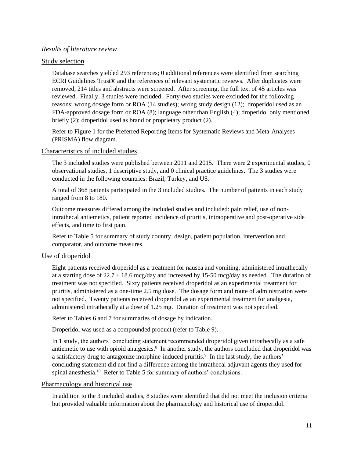#### <span id="page-10-0"></span>*Results of literature review*

#### Study selection

Database searches yielded 293 references; 0 additional references were identified from searching ECRI Guidelines Trust® and the references of relevant systematic reviews. After duplicates were removed, 214 titles and abstracts were screened. After screening, the full text of 45 articles was reviewed. Finally, 3 studies were included. Forty-two studies were excluded for the following reasons: wrong dosage form or ROA (14 studies); wrong study design (12); droperidol used as an FDA-approved dosage form or ROA (8); language other than English (4); droperidol only mentioned briefly (2); droperidol used as brand or proprietary product (2).

Refer to Figure 1 for the Preferred Reporting Items for Systematic Reviews and Meta-Analyses (PRISMA) flow diagram.

#### Characteristics of included studies

The 3 included studies were published between 2011 and 2015. There were 2 experimental studies, 0 observational studies, 1 descriptive study, and 0 clinical practice guidelines. The 3 studies were conducted in the following countries: Brazil, Turkey, and US.

A total of 368 patients participated in the 3 included studies. The number of patients in each study ranged from 8 to 180.

Outcome measures differed among the included studies and included: pain relief, use of nonintrathecal antiemetics, patient reported incidence of pruritis, intraoperative and post-operative side effects, and time to first pain.

Refer to Table 5 for summary of study country, design, patient population, intervention and comparator, and outcome measures.

#### Use of droperidol

Eight patients received droperidol as a treatment for nausea and vomiting, administered intrathecally at a starting dose of 22.7  $\pm$  18.6 mcg/day and increased by 15-50 mcg/day as needed. The duration of treatment was not specified. Sixty patients received droperidol as an experimental treatment for pruritis, administered as a one-time 2.5 mg dose. The dosage form and route of administration were not specified. Twenty patients received droperidol as an experimental treatment for analgesia, administered intrathecally at a dose of 1.25 mg. Duration of treatment was not specified.

Refer to Tables 6 and 7 for summaries of dosage by indication.

Droperidol was used as a compounded product (refer to Table 9).

In 1 study, the authors' concluding statement recommended droperidol given intrathecally as a safe antiemetic to use with opioid analgesics.<sup>8</sup> In another study, the authors concluded that droperidol was a satisfactory drug to antagonize morphine-induced pruritis.<sup>9</sup> In the last study, the authors' concluding statement did not find a difference among the intrathecal adjuvant agents they used for spinal anesthesia.<sup>10</sup> Refer to Table 5 for summary of authors' conclusions.

#### Pharmacology and historical use

In addition to the 3 included studies, 8 studies were identified that did not meet the inclusion criteria but provided valuable information about the pharmacology and historical use of droperidol.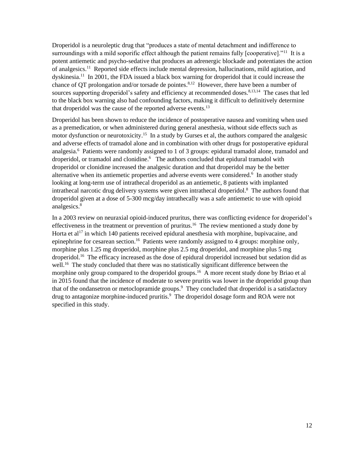Droperidol is a neuroleptic drug that "produces a state of mental detachment and indifference to surroundings with a mild soporific effect although the patient remains fully [cooperative]."<sup>11</sup> It is a potent antiemetic and psycho-sedative that produces an adrenergic blockade and potentiates the action of analgesics.<sup>11</sup> Reported side effects include mental depression, hallucinations, mild agitation, and dyskinesia.<sup>11</sup> In 2001, the FDA issued a black box warning for droperidol that it could increase the chance of QT prolongation and/or torsade de pointes.<sup>8,12</sup> However, there have been a number of sources supporting droperidol's safety and efficiency at recommended doses.<sup>8,13,14</sup> The cases that led to the black box warning also had confounding factors, making it difficult to definitively determine that droperidol was the cause of the reported adverse events.<sup>13</sup>

Droperidol has been shown to reduce the incidence of postoperative nausea and vomiting when used as a premedication, or when administered during general anesthesia, without side effects such as motor dysfunction or neurotoxicity.<sup>15</sup> In a study by Gurses et al, the authors compared the analgesic and adverse effects of tramadol alone and in combination with other drugs for postoperative epidural analgesia.<sup>6</sup> Patients were randomly assigned to 1 of 3 groups: epidural tramadol alone, tramadol and droperidol, or tramadol and clonidine.<sup>6</sup> The authors concluded that epidural tramadol with droperidol or clonidine increased the analgesic duration and that droperidol may be the better alternative when its antiemetic properties and adverse events were considered.<sup>6</sup> In another study looking at long-term use of intrathecal droperidol as an antiemetic, 8 patients with implanted intrathecal narcotic drug delivery systems were given intrathecal droperidol. 8 The authors found that droperidol given at a dose of 5-300 mcg/day intrathecally was a safe antiemetic to use with opioid analgesics.<sup>8</sup>

In a 2003 review on neuraxial opioid-induced pruritus, there was conflicting evidence for droperidol's effectiveness in the treatment or prevention of pruritus.<sup>16</sup> The review mentioned a study done by Horta et  $al^{17}$  in which 140 patients received epidural anesthesia with morphine, bupivacaine, and epinephrine for cesarean section.<sup>16</sup> Patients were randomly assigned to 4 groups: morphine only, morphine plus 1.25 mg droperidol, morphine plus 2.5 mg droperidol, and morphine plus 5 mg droperidol.<sup>16</sup> The efficacy increased as the dose of epidural droperidol increased but sedation did as well.<sup>16</sup> The study concluded that there was no statistically significant difference between the morphine only group compared to the droperidol groups.<sup>16</sup> A more recent study done by Briao et al in 2015 found that the incidence of moderate to severe pruritis was lower in the droperidol group than that of the ondansetron or metoclopramide groups. 9 They concluded that droperidol is a satisfactory drug to antagonize morphine-induced pruritis.<sup>9</sup> The droperidol dosage form and ROA were not specified in this study.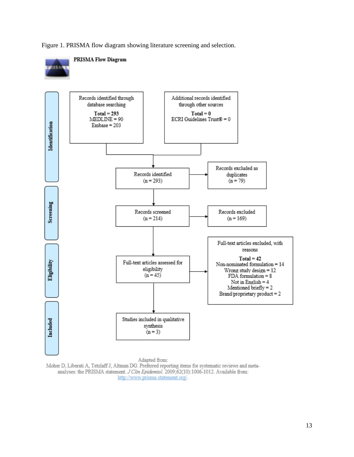Figure 1. PRISMA flow diagram showing literature screening and selection.



Moher D, Liberati A, Tetzlaff J, Altman DG. Preferred reporting items for systematic reviews and metaanalyses: the PRISMA statement. J Clin Epidemiol. 2009;62(10):1006-1012. Available from: http://www.prisma-statement.org/.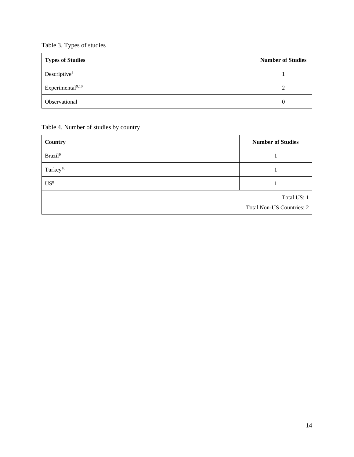## <span id="page-13-0"></span>Table 3. Types of studies

| <b>Types of Studies</b> | <b>Number of Studies</b> |
|-------------------------|--------------------------|
| Descriptive $8$         |                          |
| Experimental $9,10$     |                          |
| Observational           |                          |

<span id="page-13-1"></span>Table 4. Number of studies by country

| Country              | <b>Number of Studies</b>         |
|----------------------|----------------------------------|
| Brazil <sup>9</sup>  |                                  |
| Turkey <sup>10</sup> |                                  |
| US <sup>8</sup>      |                                  |
|                      | Total US: 1                      |
|                      | <b>Total Non-US Countries: 2</b> |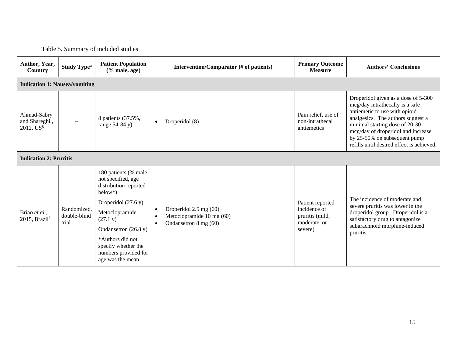## Table 5. Summary of included studies

<span id="page-14-0"></span>

| Author, Year,<br>Country                               | <b>Study Type<sup>a</sup></b>        | <b>Patient Population</b><br>$(\%$ male, age)                                                                                                                                                                                                              |                        | Intervention/Comparator (# of patients)                                      | <b>Primary Outcome</b><br><b>Measure</b>                                       | <b>Authors' Conclusions</b>                                                                                                                                                                                                                                                                       |  |  |
|--------------------------------------------------------|--------------------------------------|------------------------------------------------------------------------------------------------------------------------------------------------------------------------------------------------------------------------------------------------------------|------------------------|------------------------------------------------------------------------------|--------------------------------------------------------------------------------|---------------------------------------------------------------------------------------------------------------------------------------------------------------------------------------------------------------------------------------------------------------------------------------------------|--|--|
|                                                        | <b>Indication 1: Nausea/vomiting</b> |                                                                                                                                                                                                                                                            |                        |                                                                              |                                                                                |                                                                                                                                                                                                                                                                                                   |  |  |
| Ahmad-Sabry<br>and Shareghi.,<br>2012, US <sup>8</sup> |                                      | 8 patients (37.5%,<br>range $54-84$ y)                                                                                                                                                                                                                     | $\bullet$              | Droperidol (8)                                                               | Pain relief, use of<br>non-intrathecal<br>antiemetics                          | Droperidol given as a dose of 5-300<br>mcg/day intrathecally is a safe<br>antiemetic to use with opioid<br>analgesics. The authors suggest a<br>minimal starting dose of 20-30<br>mcg/day of droperidol and increase<br>by 25-50% on subsequent pump<br>refills until desired effect is achieved. |  |  |
| <b>Indication 2: Pruritis</b>                          |                                      |                                                                                                                                                                                                                                                            |                        |                                                                              |                                                                                |                                                                                                                                                                                                                                                                                                   |  |  |
| Briao et al.,<br>2015, Brazil $9$                      | Randomized,<br>double-blind<br>trial | 180 patients (% male<br>not specified, age<br>distribution reported<br>$below*$ )<br>Droperidol $(27.6 y)$<br>Metoclopramide<br>(27.1 y)<br>Ondansetron $(26.8 y)$<br>*Authors did not<br>specify whether the<br>numbers provided for<br>age was the mean. | $\bullet$<br>$\bullet$ | Droperidol 2.5 mg (60)<br>Metoclopramide 10 mg (60)<br>Ondansetron 8 mg (60) | Patient reported<br>incidence of<br>pruritis (mild,<br>moderate, or<br>severe) | The incidence of moderate and<br>severe pruritis was lower in the<br>droperidol group. Droperidol is a<br>satisfactory drug to antagonize<br>subarachnoid morphine-induced<br>pruritis.                                                                                                           |  |  |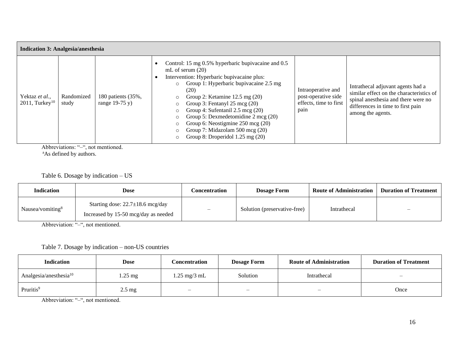| <b>Indication 3: Analgesia/anesthesia</b>       |                     |                                        |                                                                                                                                                                                                                                                                                                                                                                                                                                                                    |                                                                             |                                                                                                                                                                     |  |  |
|-------------------------------------------------|---------------------|----------------------------------------|--------------------------------------------------------------------------------------------------------------------------------------------------------------------------------------------------------------------------------------------------------------------------------------------------------------------------------------------------------------------------------------------------------------------------------------------------------------------|-----------------------------------------------------------------------------|---------------------------------------------------------------------------------------------------------------------------------------------------------------------|--|--|
| Yektaz et al.,<br>$2011$ . Turkey <sup>10</sup> | Randomized<br>study | 180 patients (35%,<br>range $19-75$ y) | Control: 15 mg 0.5% hyperbaric bupivacaine and 0.5<br>mL of serum $(20)$<br>Intervention: Hyperbaric bupivacaine plus:<br>Group 1: Hyperbaric bupivacaine 2.5 mg<br>$\circ$<br>(20)<br>Group 2: Ketamine $12.5 \text{ mg } (20)$<br>Group 3: Fentanyl 25 mcg (20)<br>Group 4: Sufentanil 2.5 mcg (20)<br>Group 5: Dexmedetomidine 2 mcg (20)<br>Group 6: Neostigmine 250 mcg (20)<br>Group 7: Midazolam 500 mcg (20)<br>Group 8: Droperidol $1.25 \text{ mg} (20)$ | Intraoperative and<br>post-operative side<br>effects, time to first<br>pain | Intrathecal adjuvant agents had a<br>similar effect on the characteristics of<br>spinal and there were no<br>differences in time to first pain<br>among the agents. |  |  |

Abbreviations: "-", not mentioned.

<sup>a</sup>As defined by authors.

Table 6. Dosage by indication – US

| <b>Indication</b>            | Dose                                                                           | Concentration | <b>Dosage Form</b>           | <b>Route of Administration</b> | <b>Duration of Treatment</b> |
|------------------------------|--------------------------------------------------------------------------------|---------------|------------------------------|--------------------------------|------------------------------|
| Nausea/vomiting <sup>8</sup> | Starting dose: $22.7 \pm 18.6$ mcg/day<br>Increased by 15-50 mcg/day as needed |               | Solution (preservative-free) | Intrathecal                    |                              |

Abbreviation: "-", not mentioned.

## Table 7. Dosage by indication – non-US countries

| <b>Indication</b>         | Dose              | Concentration                  | <b>Dosage Form</b>       | <b>Route of Administration</b> | <b>Duration of Treatment</b> |
|---------------------------|-------------------|--------------------------------|--------------------------|--------------------------------|------------------------------|
| Analgesia/anesthesia $10$ | $1.25 \text{ mg}$ | $1.25 \text{ mg}/3 \text{ mL}$ | Solution                 | Intrathecal                    | $\overline{\phantom{m}}$     |
| Pruritis <sup>9</sup>     | $2.5 \text{ mg}$  | $\overline{\phantom{m}}$       | $\overline{\phantom{a}}$ |                                | Once                         |

<span id="page-15-1"></span><span id="page-15-0"></span>Abbreviation: "–", not mentioned.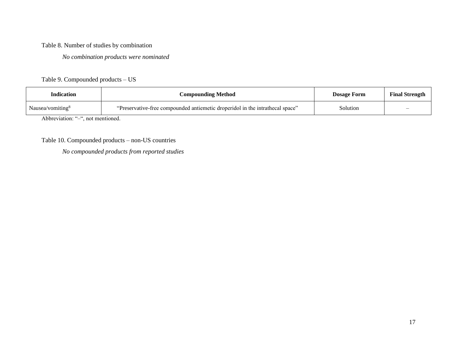## Table 8. Number of studies by combination

*No combination products were nominated* 

## Table 9. Compounded products – US

| <b>Indication</b>                 | <b>Compounding Method</b>                                                     | <b>Dosage Form</b> | <b>Final Strength</b> |  |  |  |
|-----------------------------------|-------------------------------------------------------------------------------|--------------------|-----------------------|--|--|--|
| Nausea/vomiting $8$               | "Preservative-free compounded antiemetic droperidol in the intrathecal space" | Solution           |                       |  |  |  |
| Abbreviation: "-", not mentioned. |                                                                               |                    |                       |  |  |  |

<span id="page-16-0"></span>Table 10. Compounded products – non-US countries

<span id="page-16-2"></span><span id="page-16-1"></span>*No compounded products from reported studies*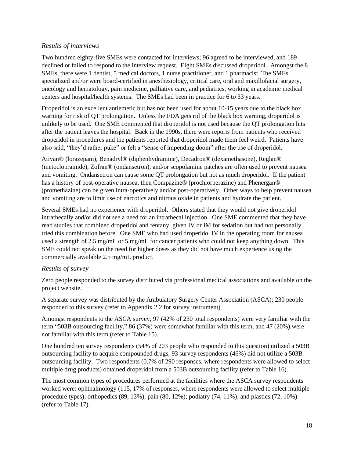## <span id="page-17-0"></span>*Results of interviews*

Two hundred eighty-five SMEs were contacted for interviews; 96 agreed to be interviewed, and 189 declined or failed to respond to the interview request. Eight SMEs discussed droperidol. Amongst the 8 SMEs, there were 1 dentist, 5 medical doctors, 1 nurse practitioner, and 1 pharmacist. The SMEs specialized and/or were board-certified in anesthesiology, critical care, oral and maxillofacial surgery, oncology and hematology, pain medicine, palliative care, and pediatrics, working in academic medical centers and hospital/health systems. The SMEs had been in practice for 6 to 33 years.

Droperidol is an excellent antiemetic but has not been used for about 10-15 years due to the black box warning for risk of QT prolongation. Unless the FDA gets rid of the black box warning, droperidol is unlikely to be used. One SME commented that droperidol is not used because the QT prolongation hits after the patient leaves the hospital. Back in the 1990s, there were reports from patients who received droperidol in procedures and the patients reported that droperidol made them feel weird. Patients have also said, "they'd rather puke" or felt a "sense of impending doom" after the use of droperidol.

Ativan® (lorazepam), Benadryl® (diphenhydramine), Decadron® (dexamethasone), Reglan® (metoclopramide), Zofran® (ondansetron), and/or scopolamine patches are often used to prevent nausea and vomiting. Ondansetron can cause some QT prolongation but not as much droperidol. If the patient has a history of post-operative nausea, then Compazine® (prochlorperazine) and Phenergan® (promethazine) can be given intra-operatively and/or post-operatively. Other ways to help prevent nausea and vomiting are to limit use of narcotics and nitrous oxide in patients and hydrate the patient.

Several SMEs had no experience with droperidol. Others stated that they would not give droperidol intrathecally and/or did not see a need for an intrathecal injection. One SME commented that they have read studies that combined droperidol and fentanyl given IV or IM for sedation but had not personally tried this combination before. One SME who had used droperidol IV in the operating room for nausea used a strength of 2.5 mg/mL or 5 mg/mL for cancer patients who could not keep anything down. This SME could not speak on the need for higher doses as they did not have much experience using the commercially available 2.5 mg/mL product.

#### <span id="page-17-1"></span>*Results of survey*

Zero people responded to the survey distributed via professional medical associations and available on the project website.

A separate survey was distributed by the Ambulatory Surgery Center Association (ASCA); 230 people responded to this survey (refer to Appendix 2.2 for survey instrument).

Amongst respondents to the ASCA survey, 97 (42% of 230 total respondents) were very familiar with the term "503B outsourcing facility," 86 (37%) were somewhat familiar with this term, and 47 (20%) were not familiar with this term (refer to Table 15).

One hundred ten survey respondents (54% of 203 people who responded to this question) utilized a 503B outsourcing facility to acquire compounded drugs; 93 survey respondents (46%) did not utilize a 503B outsourcing facility. Two respondents (0.7% of 290 responses, where respondents were allowed to select multiple drug products) obtained droperidol from a 503B outsourcing facility (refer to Table 16).

The most common types of procedures performed at the facilities where the ASCA survey respondents worked were: ophthalmology (115, 17% of responses, where respondents were allowed to select multiple procedure types); orthopedics (89, 13%); pain (80, 12%); podiatry (74, 11%); and plastics (72, 10%) (refer to Table 17).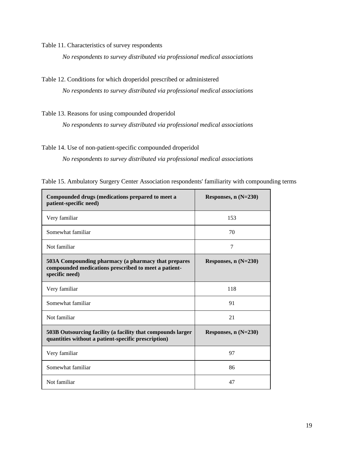<span id="page-18-0"></span>Table 11. Characteristics of survey respondents

*No respondents to survey distributed via professional medical associations*

<span id="page-18-1"></span>Table 12. Conditions for which droperidol prescribed or administered

*No respondents to survey distributed via professional medical associations*

<span id="page-18-2"></span>Table 13. Reasons for using compounded droperidol

*No respondents to survey distributed via professional medical associations*

#### <span id="page-18-3"></span>Table 14. Use of non-patient-specific compounded droperidol

*No respondents to survey distributed via professional medical associations*

| Compounded drugs (medications prepared to meet a<br>patient-specific need)                                                    | Responses, $n(N=230)$ |
|-------------------------------------------------------------------------------------------------------------------------------|-----------------------|
| Very familiar                                                                                                                 | 153                   |
| Somewhat familiar                                                                                                             | 70                    |
| Not familiar                                                                                                                  | 7                     |
| 503A Compounding pharmacy (a pharmacy that prepares<br>compounded medications prescribed to meet a patient-<br>specific need) | Responses, $n(N=230)$ |
| Very familiar                                                                                                                 | 118                   |
| Somewhat familiar                                                                                                             | 91                    |
| Not familiar                                                                                                                  | 21                    |
| 503B Outsourcing facility (a facility that compounds larger<br>quantities without a patient-specific prescription)            | Responses, $n(N=230)$ |
| Very familiar                                                                                                                 | 97                    |
| Somewhat familiar                                                                                                             | 86                    |
| Not familiar                                                                                                                  | 47                    |

<span id="page-18-4"></span>Table 15. Ambulatory Surgery Center Association respondents' familiarity with compounding terms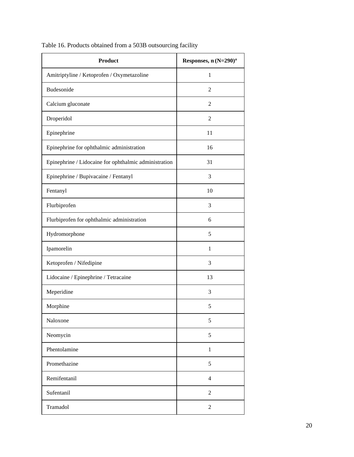| <b>Product</b>                                        | Responses, n (N=290) <sup>a</sup> |
|-------------------------------------------------------|-----------------------------------|
| Amitriptyline / Ketoprofen / Oxymetazoline            | $\mathbf{1}$                      |
| Budesonide                                            | $\overline{c}$                    |
| Calcium gluconate                                     | $\overline{c}$                    |
| Droperidol                                            | $\overline{2}$                    |
| Epinephrine                                           | 11                                |
| Epinephrine for ophthalmic administration             | 16                                |
| Epinephrine / Lidocaine for ophthalmic administration | 31                                |
| Epinephrine / Bupivacaine / Fentanyl                  | 3                                 |
| Fentanyl                                              | 10                                |
| Flurbiprofen                                          | 3                                 |
| Flurbiprofen for ophthalmic administration            | 6                                 |
| Hydromorphone                                         | 5                                 |
| Ipamorelin                                            | $\mathbf{1}$                      |
| Ketoprofen / Nifedipine                               | 3                                 |
| Lidocaine / Epinephrine / Tetracaine                  | 13                                |
| Meperidine                                            | 3                                 |
| Morphine                                              | 5                                 |
| Naloxone                                              | 5                                 |
| Neomycin                                              | 5                                 |
| Phentolamine                                          | $\mathbf{1}$                      |
| Promethazine                                          | 5                                 |
| Remifentanil                                          | 4                                 |
| Sufentanil                                            | $\overline{2}$                    |
| Tramadol                                              | $\overline{c}$                    |

<span id="page-19-0"></span>Table 16. Products obtained from a 503B outsourcing facility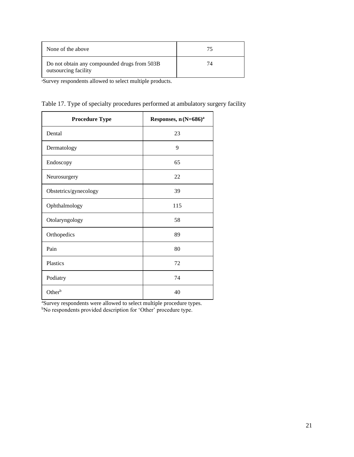| None of the above                                                    | 75 |
|----------------------------------------------------------------------|----|
| Do not obtain any compounded drugs from 503B<br>outsourcing facility | 74 |

<sup>a</sup>Survey respondents allowed to select multiple products.

<span id="page-20-0"></span>

|  |  |  |  | Table 17. Type of specialty procedures performed at ambulatory surgery facility |  |
|--|--|--|--|---------------------------------------------------------------------------------|--|
|  |  |  |  |                                                                                 |  |

| <b>Procedure Type</b> | Responses, n (N=686) <sup>a</sup> |
|-----------------------|-----------------------------------|
| Dental                | 23                                |
| Dermatology           | 9                                 |
| Endoscopy             | 65                                |
| Neurosurgery          | 22                                |
| Obstetrics/gynecology | 39                                |
| Ophthalmology         | 115                               |
| Otolaryngology        | 58                                |
| Orthopedics           | 89                                |
| Pain                  | 80                                |
| Plastics              | 72                                |
| Podiatry              | 74                                |
| Other <sup>b</sup>    | 40                                |

<sup>a</sup>Survey respondents were allowed to select multiple procedure types. <sup>b</sup>No respondents provided description for 'Other' procedure type.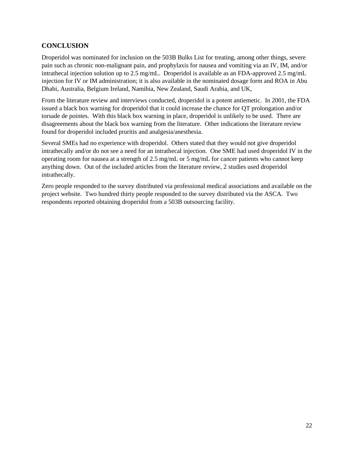## <span id="page-21-0"></span>**CONCLUSION**

Droperidol was nominated for inclusion on the 503B Bulks List for treating, among other things, severe pain such as chronic non-malignant pain, and prophylaxis for nausea and vomiting via an IV, IM, and/or intrathecal injection solution up to 2.5 mg/mL. Droperidol is available as an FDA-approved 2.5 mg/mL injection for IV or IM administration; it is also available in the nominated dosage form and ROA in Abu Dhabi, Australia, Belgium Ireland, Namibia, New Zealand, Saudi Arabia, and UK,

From the literature review and interviews conducted, droperidol is a potent antiemetic. In 2001, the FDA issued a black box warning for droperidol that it could increase the chance for QT prolongation and/or torsade de pointes. With this black box warning in place, droperidol is unlikely to be used. There are disagreements about the black box warning from the literature. Other indications the literature review found for droperidol included pruritis and analgesia/anesthesia.

Several SMEs had no experience with droperidol. Others stated that they would not give droperidol intrathecally and/or do not see a need for an intrathecal injection. One SME had used droperidol IV in the operating room for nausea at a strength of 2.5 mg/mL or 5 mg/mL for cancer patients who cannot keep anything down. Out of the included articles from the literature review, 2 studies used droperidol intrathecally.

Zero people responded to the survey distributed via professional medical associations and available on the project website. Two hundred thirty people responded to the survey distributed via the ASCA. Two respondents reported obtaining droperidol from a 503B outsourcing facility.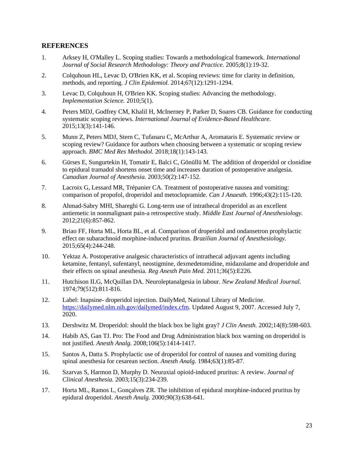#### <span id="page-22-0"></span>**REFERENCES**

- 1. Arksey H, O'Malley L. Scoping studies: Towards a methodological framework. *International Journal of Social Research Methodology: Theory and Practice.* 2005;8(1):19-32.
- 2. Colquhoun HL, Levac D, O'Brien KK, et al. Scoping reviews: time for clarity in definition, methods, and reporting. *J Clin Epidemiol.* 2014;67(12):1291-1294.
- 3. Levac D, Colquhoun H, O'Brien KK. Scoping studies: Advancing the methodology. *Implementation Science.* 2010;5(1).
- 4. Peters MDJ, Godfrey CM, Khalil H, McInerney P, Parker D, Soares CB. Guidance for conducting systematic scoping reviews. *International Journal of Evidence-Based Healthcare.*  2015;13(3):141-146.
- 5. Munn Z, Peters MDJ, Stern C, Tufanaru C, McArthur A, Aromataris E. Systematic review or scoping review? Guidance for authors when choosing between a systematic or scoping review approach. *BMC Med Res Methodol.* 2018;18(1):143-143.
- 6. Gürses E, Sungurtekin H, Tomatir E, Balci C, Gönüllü M. The addition of droperidol or clonidine to epidural tramadol shortens onset time and increases duration of postoperative analgesia. *Canadian Journal of Anesthesia.* 2003;50(2):147-152.
- 7. Lacroix G, Lessard MR, Trépanier CA. Treatment of postoperative nausea and vomiting: comparison of propofol, droperidol and metoclopramide. *Can J Anaesth.* 1996;43(2):115-120.
- 8. Ahmad-Sabry MHI, Shareghi G. Long-term use of intrathecal droperidol as an excellent antiemetic in nonmalignant pain-a retrospective study. *Middle East Journal of Anesthesiology.*  2012;21(6):857-862.
- 9. Briao FF, Horta ML, Horta BL, et al. Comparison of droperidol and ondansetron prophylactic effect on subarachnoid morphine-induced pruritus. *Brazilian Journal of Anesthesiology.*  2015;65(4):244-248.
- 10. Yektaz A. Postoperative analgesic characteristics of intrathecal adjuvant agents including ketamine, fentanyl, sufentanyl, neostigmine, dexmedetomidine, midazolame and droperidole and their effects on spinal anesthesia. *Reg Anesth Pain Med.* 2011;36(5):E226.
- 11. Hutchison ILG, McQuillan DA. Neuroleptanalgesia in labour. *New Zealand Medical Journal.*  1974;79(512):811-816.
- 12. Label: Inapsine- droperidol injection. DailyMed, National Library of Medicine. [https://dailymed.nlm.nih.gov/dailymed/index.cfm.](https://dailymed.nlm.nih.gov/dailymed/index.cfm) Updated August 9, 2007. Accessed July 7, 2020.
- 13. Dershwitz M. Droperidol: should the black box be light gray? *J Clin Anesth.* 2002;14(8):598-603.
- 14. Habib AS, Gan TJ. Pro: The Food and Drug Administration black box warning on droperidol is not justified. *Anesth Analg.* 2008;106(5):1414-1417.
- 15. Santos A, Datta S. Prophylactic use of droperidol for control of nausea and vomiting during spinal anesthesia for cesarean section. *Anesth Analg.* 1984;63(1):85-87.
- 16. Szarvas S, Harmon D, Murphy D. Neuraxial opioid-induced pruritus: A review. *Journal of Clinical Anesthesia.* 2003;15(3):234-239.
- 17. Horta ML, Ramos L, Gonçalves ZR. The inhibition of epidural morphine-induced pruritus by epidural droperidol. *Anesth Analg.* 2000;90(3):638-641.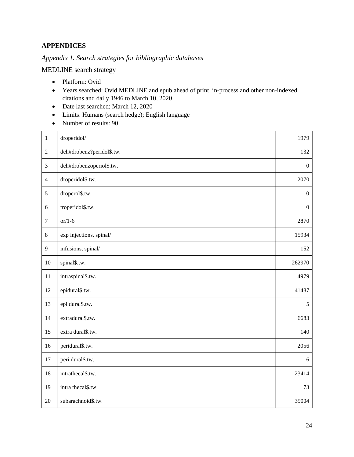## <span id="page-23-0"></span>**APPENDICES**

<span id="page-23-1"></span>*Appendix 1. Search strategies for bibliographic databases*

MEDLINE search strategy

- Platform: Ovid
- Years searched: Ovid MEDLINE and epub ahead of print, in-process and other non-indexed citations and daily 1946 to March 10, 2020
- Date last searched: March 12, 2020
- Limits: Humans (search hedge); English language
- Number of results: 90

| $\mathbf{1}$     | droperidol/               | 1979             |
|------------------|---------------------------|------------------|
| $\overline{2}$   | deh#drobenz?peridol\$.tw. | 132              |
| $\mathfrak{Z}$   | deh#drobenzoperiol\$.tw.  | $\boldsymbol{0}$ |
| $\overline{4}$   | droperidol\$.tw.          | 2070             |
| 5                | droperol\$.tw.            | $\boldsymbol{0}$ |
| 6                | troperidol\$.tw.          | $\boldsymbol{0}$ |
| $\boldsymbol{7}$ | $or/1-6$                  | 2870             |
| $\,8\,$          | exp injections, spinal/   | 15934            |
| 9                | infusions, spinal/        | 152              |
| 10               | spinal\$.tw.              | 262970           |
| 11               | intraspinal\$.tw.         | 4979             |
| 12               | epidural\$.tw.            | 41487            |
| 13               | epi dural\$.tw.           | 5                |
| 14               | extradural\$.tw.          | 6683             |
| 15               | extra dural\$.tw.         | 140              |
| 16               | peridural\$.tw.           | 2056             |
| 17               | peri dural\$.tw.          | 6                |
| 18               | intrathecal\$.tw.         | 23414            |
| 19               | intra thecal\$.tw.        | 73               |
| 20               | subarachnoid\$.tw.        | 35004            |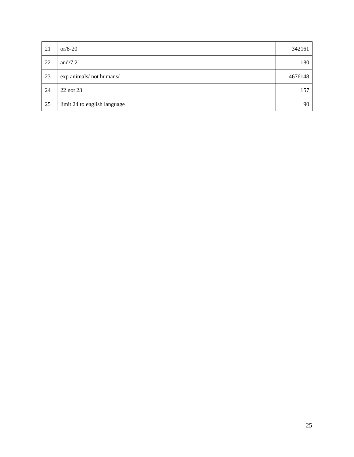| 21 | or/8-20                      | 342161  |
|----|------------------------------|---------|
| 22 | and/7,21                     | 180     |
| 23 | exp animals/not humans/      | 4676148 |
| 24 | 22 not 23                    | 157     |
| 25 | limit 24 to english language | 90      |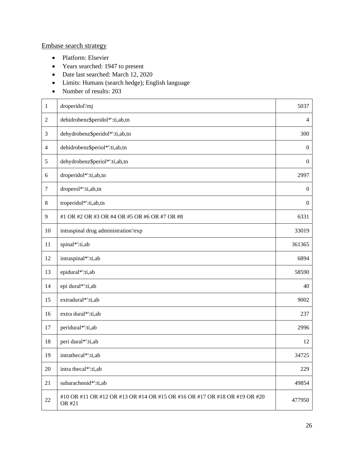## Embase search strategy

- Platform: Elsevier
- Years searched: 1947 to present
- Date last searched: March 12, 2020
- Limits: Humans (search hedge); English language
- Number of results: 203

| $\mathbf{1}$   | droperidol'/mj                                                                      | 5037             |
|----------------|-------------------------------------------------------------------------------------|------------------|
| $\overline{2}$ | dehidrobenz\$peridol*':ti,ab,tn                                                     | $\overline{4}$   |
| 3              | dehydrobenz\$peridol*':ti,ab,tn                                                     | 300              |
| $\overline{4}$ | dehidrobenz\$periol*':ti,ab,tn                                                      | $\boldsymbol{0}$ |
| 5              | dehydrobenz\$periol*':ti,ab,tn                                                      | $\boldsymbol{0}$ |
| 6              | droperidol*':ti,ab,tn                                                               | 2997             |
| $\overline{7}$ | droperol*':ti,ab,tn                                                                 | $\boldsymbol{0}$ |
| $8\phantom{.}$ | troperidol*':ti,ab,tn                                                               | $\boldsymbol{0}$ |
| 9              | #1 OR #2 OR #3 OR #4 OR #5 OR #6 OR #7 OR #8                                        | 6331             |
| 10             | intraspinal drug administration/exp                                                 | 33019            |
| 11             | spinal*':ti,ab                                                                      | 361365           |
| 12             | intraspinal*':ti,ab                                                                 | 6894             |
| 13             | epidural*':ti,ab                                                                    | 58590            |
| 14             | epi dural*':ti,ab                                                                   | 40               |
| 15             | extradural*':ti,ab                                                                  | 9002             |
| 16             | extra dural*':ti,ab                                                                 | 237              |
| 17             | peridural*':ti,ab                                                                   | 2996             |
| 18             | peri dural*':ti,ab                                                                  | 12               |
| 19             | intrathecal*':ti,ab                                                                 | 34725            |
| 20             | intra thecal*':ti,ab                                                                | 229              |
| 21             | subarachnoid*':ti,ab                                                                | 49854            |
| $22\,$         | #10 OR #11 OR #12 OR #13 OR #14 OR #15 OR #16 OR #17 OR #18 OR #19 OR #20<br>OR #21 | 477950           |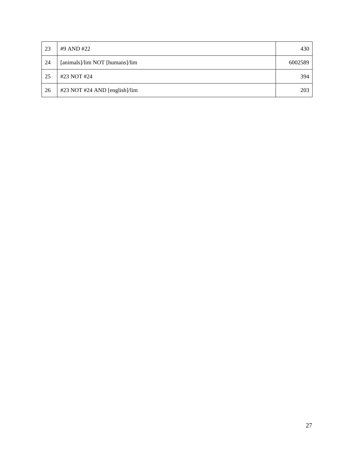| 23 | #9 AND #22                     | 430     |
|----|--------------------------------|---------|
| 24 | [animals]/lim NOT [humans]/lim | 6002589 |
| 25 | #23 NOT #24                    | 394     |
| 26 | #23 NOT #24 AND [english]/lim  | 203     |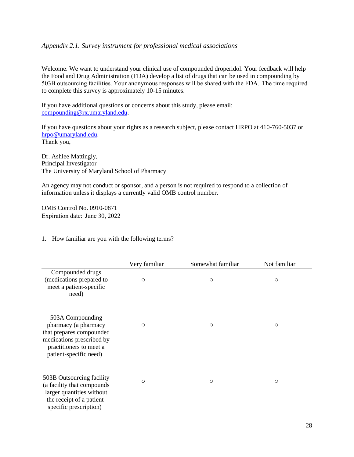#### <span id="page-27-0"></span>*Appendix 2.1. Survey instrument for professional medical associations*

Welcome. We want to understand your clinical use of compounded droperidol. Your feedback will help the Food and Drug Administration (FDA) develop a list of drugs that can be used in compounding by 503B outsourcing facilities. Your anonymous responses will be shared with the FDA.  The time required to complete this survey is approximately 10-15 minutes.

If you have additional questions or concerns about this study, please email: [compounding@rx.umaryland.edu.](mailto:compounding@rx.umaryland.edu)

If you have questions about your rights as a research subject, please contact HRPO at 410-760-5037 or [hrpo@umaryland.edu.](mailto:hrpo@umaryland.edu) Thank you, 

Dr. Ashlee Mattingly, Principal Investigator The University of Maryland School of Pharmacy

An agency may not conduct or sponsor, and a person is not required to respond to a collection of information unless it displays a currently valid OMB control number.

OMB Control No. 0910-0871 Expiration date:  June 30, 2022

#### 1. How familiar are you with the following terms?

|                                                                                                                                                        | Very familiar | Somewhat familiar | Not familiar |
|--------------------------------------------------------------------------------------------------------------------------------------------------------|---------------|-------------------|--------------|
| Compounded drugs<br>(medications prepared to<br>meet a patient-specific<br>need)                                                                       | $\circ$       | $\circ$           | $\circ$      |
| 503A Compounding<br>pharmacy (a pharmacy<br>that prepares compounded<br>medications prescribed by<br>practitioners to meet a<br>patient-specific need) | $\circ$       | $\circ$           | $\circ$      |
| 503B Outsourcing facility<br>(a facility that compounds<br>larger quantities without<br>the receipt of a patient-<br>specific prescription)            | $\circ$       | $\circ$           | $\circ$      |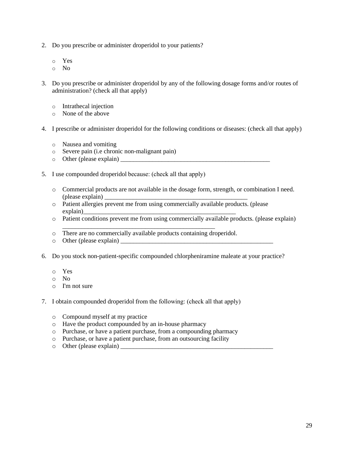- 2. Do you prescribe or administer droperidol to your patients?
	- o Yes
	- o No
- 3. Do you prescribe or administer droperidol by any of the following dosage forms and/or routes of administration? (check all that apply)
	- o Intrathecal injection
	- o None of the above
- 4. I prescribe or administer droperidol for the following conditions or diseases: (check all that apply)
	- o Nausea and vomiting
	- o Severe pain (i.e chronic non-malignant pain)
	- o Other (please explain) \_\_\_\_\_\_\_\_\_\_\_\_\_\_\_\_\_\_\_\_\_\_\_\_\_\_\_\_\_\_\_\_\_\_\_\_\_\_\_\_\_\_\_\_\_\_\_
- 5. I use compounded droperidol because: (check all that apply)
	- o Commercial products are not available in the dosage form, strength, or combination I need.  $($ please explain $)$
	- o Patient allergies prevent me from using commercially available products. (please explain)
	- o Patient conditions prevent me from using commercially available products. (please explain)
	- o There are no commercially available products containing droperidol.

\_\_\_\_\_\_\_\_\_\_\_\_\_\_\_\_\_\_\_\_\_\_\_\_\_\_\_\_\_\_\_\_\_\_\_\_\_\_\_\_\_\_\_\_\_\_\_\_

- o Other (please explain)
- 6. Do you stock non-patient-specific compounded chlorpheniramine maleate at your practice?
	- o Yes
	- o No
	- o I'm not sure
- 7. I obtain compounded droperidol from the following: (check all that apply)
	- o Compound myself at my practice
	- o Have the product compounded by an in-house pharmacy
	- o Purchase, or have a patient purchase, from a compounding pharmacy
	- o Purchase, or have a patient purchase, from an outsourcing facility
	- $\circ$  Other (please explain)  $\Box$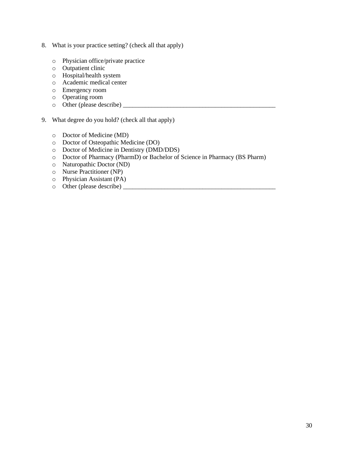- 8. What is your practice setting? (check all that apply)
	- o Physician office/private practice
	- o Outpatient clinic
	- o Hospital/health system
	- o Academic medical center
	- o Emergency room
	- o Operating room
	- o Other (please describe) \_\_\_\_\_\_\_\_\_\_\_\_\_\_\_\_\_\_\_\_\_\_\_\_\_\_\_\_\_\_\_\_\_\_\_\_\_\_\_\_\_\_\_\_\_\_\_\_
- 9. What degree do you hold? (check all that apply)
	- o Doctor of Medicine (MD)
	- o Doctor of Osteopathic Medicine (DO)
	- o Doctor of Medicine in Dentistry (DMD/DDS)
	- o Doctor of Pharmacy (PharmD) or Bachelor of Science in Pharmacy (BS Pharm)
	- o Naturopathic Doctor (ND)
	- o Nurse Practitioner (NP)
	- o Physician Assistant (PA)
	- o Other (please describe) \_\_\_\_\_\_\_\_\_\_\_\_\_\_\_\_\_\_\_\_\_\_\_\_\_\_\_\_\_\_\_\_\_\_\_\_\_\_\_\_\_\_\_\_\_\_\_\_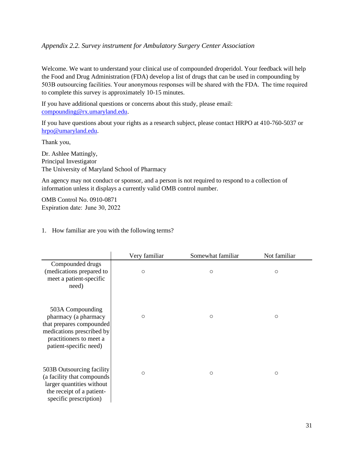### <span id="page-30-0"></span>*Appendix 2.2. Survey instrument for Ambulatory Surgery Center Association*

Welcome. We want to understand your clinical use of compounded droperidol. Your feedback will help the Food and Drug Administration (FDA) develop a list of drugs that can be used in compounding by 503B outsourcing facilities. Your anonymous responses will be shared with the FDA.  The time required to complete this survey is approximately 10-15 minutes.

If you have additional questions or concerns about this study, please email: [compounding@rx.umaryland.edu.](mailto:compounding@rx.umaryland.edu)

If you have questions about your rights as a research subject, please contact HRPO at 410-760-5037 or [hrpo@umaryland.edu.](mailto:hrpo@umaryland.edu)

Thank you, 

Dr. Ashlee Mattingly, Principal Investigator The University of Maryland School of Pharmacy

An agency may not conduct or sponsor, and a person is not required to respond to a collection of information unless it displays a currently valid OMB control number.

OMB Control No. 0910-0871 Expiration date:  June 30, 2022

|                                                                                                                                                        | Very familiar | Somewhat familiar | Not familiar |
|--------------------------------------------------------------------------------------------------------------------------------------------------------|---------------|-------------------|--------------|
| Compounded drugs<br>(medications prepared to<br>meet a patient-specific<br>need)                                                                       | $\circ$       | $\circ$           | $\circ$      |
| 503A Compounding<br>pharmacy (a pharmacy<br>that prepares compounded<br>medications prescribed by<br>practitioners to meet a<br>patient-specific need) | $\circ$       | $\circ$           | $\circ$      |
| 503B Outsourcing facility<br>(a facility that compounds<br>larger quantities without<br>the receipt of a patient-<br>specific prescription)            | $\circ$       | $\circ$           | $\circ$      |

1. How familiar are you with the following terms?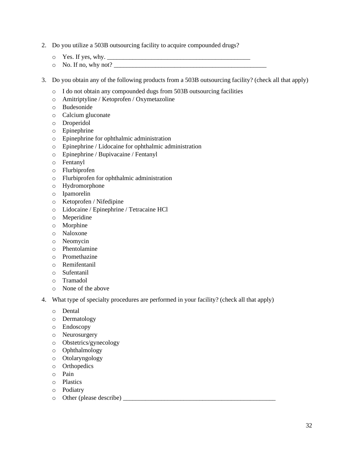- 2. Do you utilize a 503B outsourcing facility to acquire compounded drugs?
	- o Yes. If yes, why. \_\_\_\_\_\_\_\_\_\_\_\_\_\_\_\_\_\_\_\_\_\_\_\_\_\_\_\_\_\_\_\_\_\_\_\_\_\_\_\_\_\_\_\_\_
	- $\circ$  No. If no, why not?
- 3. Do you obtain any of the following products from a 503B outsourcing facility? (check all that apply)
	- o I do not obtain any compounded dugs from 503B outsourcing facilities
	- o Amitriptyline / Ketoprofen / Oxymetazoline
	- o Budesonide
	- o Calcium gluconate
	- o Droperidol
	- o Epinephrine
	- o Epinephrine for ophthalmic administration
	- o Epinephrine / Lidocaine for ophthalmic administration
	- o Epinephrine / Bupivacaine / Fentanyl
	- o Fentanyl
	- o Flurbiprofen
	- o Flurbiprofen for ophthalmic administration
	- o Hydromorphone
	- o Ipamorelin
	- o Ketoprofen / Nifedipine
	- o Lidocaine / Epinephrine / Tetracaine HCl
	- o Meperidine
	- o Morphine
	- o Naloxone
	- o Neomycin
	- o Phentolamine
	- o Promethazine
	- o Remifentanil
	- o Sufentanil
	- o Tramadol
	- o None of the above
- 4. What type of specialty procedures are performed in your facility? (check all that apply)
	- o Dental
	- o Dermatology
	- o Endoscopy
	- o Neurosurgery
	- o Obstetrics/gynecology
	- o Ophthalmology
	- o Otolaryngology
	- o Orthopedics
	- o Pain
	- o Plastics
	- o Podiatry
	- o Other (please describe) \_\_\_\_\_\_\_\_\_\_\_\_\_\_\_\_\_\_\_\_\_\_\_\_\_\_\_\_\_\_\_\_\_\_\_\_\_\_\_\_\_\_\_\_\_\_\_\_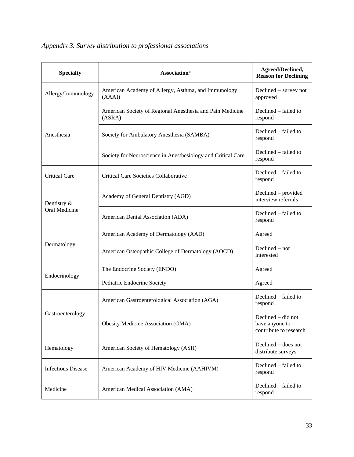<span id="page-32-0"></span>

|  |  | Appendix 3. Survey distribution to professional associations |  |  |
|--|--|--------------------------------------------------------------|--|--|
|--|--|--------------------------------------------------------------|--|--|

| <b>Specialty</b>             | <b>Association</b> <sup>a</sup>                                     | Agreed/Declined,<br><b>Reason for Declining</b>                  |
|------------------------------|---------------------------------------------------------------------|------------------------------------------------------------------|
| Allergy/Immunology           | American Academy of Allergy, Asthma, and Immunology<br>(AAAI)       | $Declined - survey not$<br>approved                              |
| Anesthesia                   | American Society of Regional Anesthesia and Pain Medicine<br>(ASRA) | Declined – failed to<br>respond                                  |
|                              | Society for Ambulatory Anesthesia (SAMBA)                           | Declined - failed to<br>respond                                  |
|                              | Society for Neuroscience in Anesthesiology and Critical Care        | Declined – failed to<br>respond                                  |
| Critical Care                | Critical Care Societies Collaborative                               | Declined – failed to<br>respond                                  |
| Dentistry &<br>Oral Medicine | Academy of General Dentistry (AGD)                                  | Declined - provided<br>interview referrals                       |
|                              | American Dental Association (ADA)                                   | Declined – failed to<br>respond                                  |
| Dermatology                  | American Academy of Dermatology (AAD)                               | Agreed                                                           |
|                              | American Osteopathic College of Dermatology (AOCD)                  | $Declined - not$<br>interested                                   |
| Endocrinology                | The Endocrine Society (ENDO)                                        | Agreed                                                           |
|                              | Pediatric Endocrine Society                                         | Agreed                                                           |
| Gastroenterology             | American Gastroenterological Association (AGA)                      | Declined – failed to<br>respond                                  |
|                              | Obesity Medicine Association (OMA)                                  | Declined $-$ did not<br>have anyone to<br>contribute to research |
| Hematology                   | American Society of Hematology (ASH)                                | Declined $-$ does not<br>distribute surveys                      |
| <b>Infectious Disease</b>    | American Academy of HIV Medicine (AAHIVM)                           | Declined - failed to<br>respond                                  |
| Medicine                     | American Medical Association (AMA)                                  | Declined – failed to<br>respond                                  |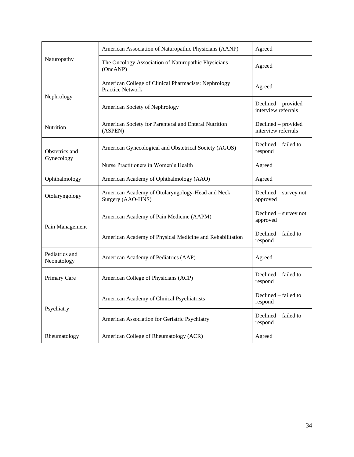| Naturopathy                   | American Association of Naturopathic Physicians (AANP)                          | Agreed                                     |
|-------------------------------|---------------------------------------------------------------------------------|--------------------------------------------|
|                               | The Oncology Association of Naturopathic Physicians<br>(OncANP)                 | Agreed                                     |
| Nephrology                    | American College of Clinical Pharmacists: Nephrology<br><b>Practice Network</b> | Agreed                                     |
|                               | American Society of Nephrology                                                  | Declined - provided<br>interview referrals |
| Nutrition                     | American Society for Parenteral and Enteral Nutrition<br>(ASPEN)                | Declined - provided<br>interview referrals |
| Obstetrics and<br>Gynecology  | American Gynecological and Obstetrical Society (AGOS)                           | Declined – failed to<br>respond            |
|                               | Nurse Practitioners in Women's Health                                           | Agreed                                     |
| Ophthalmology                 | American Academy of Ophthalmology (AAO)                                         | Agreed                                     |
| Otolaryngology                | American Academy of Otolaryngology-Head and Neck<br>Surgery (AAO-HNS)           | Declined – survey not<br>approved          |
| Pain Management               | American Academy of Pain Medicine (AAPM)                                        | Declined – survey not<br>approved          |
|                               | American Academy of Physical Medicine and Rehabilitation                        | Declined – failed to<br>respond            |
| Pediatrics and<br>Neonatology | American Academy of Pediatrics (AAP)                                            | Agreed                                     |
| Primary Care                  | American College of Physicians (ACP)                                            | Declined – failed to<br>respond            |
| Psychiatry                    | American Academy of Clinical Psychiatrists                                      | Declined – failed to<br>respond            |
|                               | American Association for Geriatric Psychiatry                                   | Declined – failed to<br>respond            |
| Rheumatology                  | American College of Rheumatology (ACR)                                          | Agreed                                     |